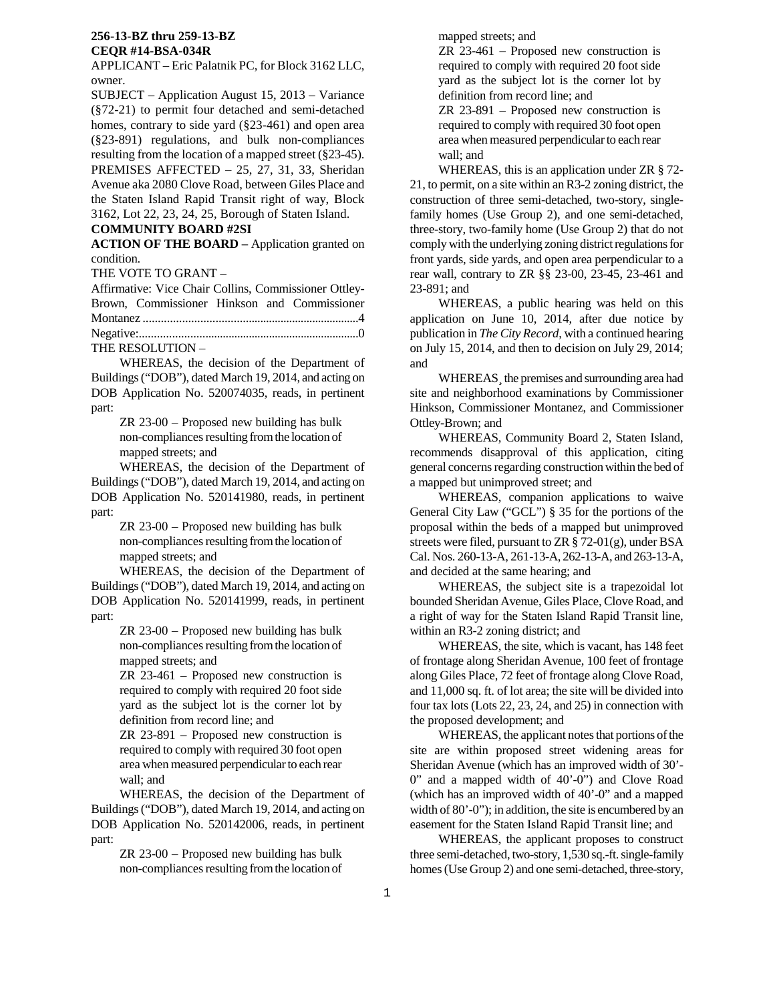APPLICANT – Eric Palatnik PC, for Block 3162 LLC, owner.

SUBJECT – Application August 15, 2013 – Variance (§72-21) to permit four detached and semi-detached homes, contrary to side yard (§23-461) and open area (§23-891) regulations, and bulk non-compliances resulting from the location of a mapped street (§23-45). PREMISES AFFECTED – 25, 27, 31, 33, Sheridan Avenue aka 2080 Clove Road, between Giles Place and the Staten Island Rapid Transit right of way, Block 3162, Lot 22, 23, 24, 25, Borough of Staten Island.

# **COMMUNITY BOARD #2SI**

**ACTION OF THE BOARD –** Application granted on condition.

THE VOTE TO GRANT –

Affirmative: Vice Chair Collins, Commissioner Ottley-Brown, Commissioner Hinkson and Commissioner Montanez .........................................................................4 Negative:...........................................................................0

THE RESOLUTION –

 WHEREAS, the decision of the Department of Buildings ("DOB"), dated March 19, 2014, and acting on DOB Application No. 520074035, reads, in pertinent part:

> ZR 23-00 – Proposed new building has bulk non-compliances resulting from the location of mapped streets; and

 WHEREAS, the decision of the Department of Buildings ("DOB"), dated March 19, 2014, and acting on DOB Application No. 520141980, reads, in pertinent part:

> ZR 23-00 – Proposed new building has bulk non-compliances resulting from the location of mapped streets; and

 WHEREAS, the decision of the Department of Buildings ("DOB"), dated March 19, 2014, and acting on DOB Application No. 520141999, reads, in pertinent part:

> ZR 23-00 – Proposed new building has bulk non-compliances resulting from the location of mapped streets; and

> ZR 23-461 – Proposed new construction is required to comply with required 20 foot side yard as the subject lot is the corner lot by definition from record line; and

> ZR 23-891 – Proposed new construction is required to comply with required 30 foot open area when measured perpendicular to each rear wall; and

 WHEREAS, the decision of the Department of Buildings ("DOB"), dated March 19, 2014, and acting on DOB Application No. 520142006, reads, in pertinent part:

> ZR 23-00 – Proposed new building has bulk non-compliances resulting from the location of

mapped streets; and

ZR 23-461 – Proposed new construction is required to comply with required 20 foot side yard as the subject lot is the corner lot by definition from record line; and

ZR 23-891 – Proposed new construction is required to comply with required 30 foot open area when measured perpendicular to each rear wall; and

 WHEREAS, this is an application under ZR § 72- 21, to permit, on a site within an R3-2 zoning district, the construction of three semi-detached, two-story, singlefamily homes (Use Group 2), and one semi-detached, three-story, two-family home (Use Group 2) that do not comply with the underlying zoning district regulations for front yards, side yards, and open area perpendicular to a rear wall, contrary to ZR §§ 23-00, 23-45, 23-461 and 23-891; and

 WHEREAS, a public hearing was held on this application on June 10, 2014, after due notice by publication in *The City Record*, with a continued hearing on July 15, 2014, and then to decision on July 29, 2014; and

 WHEREAS¸ the premises and surrounding area had site and neighborhood examinations by Commissioner Hinkson, Commissioner Montanez, and Commissioner Ottley-Brown; and

 WHEREAS, Community Board 2, Staten Island, recommends disapproval of this application, citing general concerns regarding construction within the bed of a mapped but unimproved street; and

 WHEREAS, companion applications to waive General City Law ("GCL") § 35 for the portions of the proposal within the beds of a mapped but unimproved streets were filed, pursuant to ZR § 72-01(g), under BSA Cal. Nos. 260-13-A, 261-13-A, 262-13-A, and 263-13-A, and decided at the same hearing; and

 WHEREAS, the subject site is a trapezoidal lot bounded Sheridan Avenue, Giles Place, Clove Road, and a right of way for the Staten Island Rapid Transit line, within an R3-2 zoning district; and

 WHEREAS, the site, which is vacant, has 148 feet of frontage along Sheridan Avenue, 100 feet of frontage along Giles Place, 72 feet of frontage along Clove Road, and 11,000 sq. ft. of lot area; the site will be divided into four tax lots (Lots 22, 23, 24, and 25) in connection with the proposed development; and

 WHEREAS, the applicant notes that portions of the site are within proposed street widening areas for Sheridan Avenue (which has an improved width of 30'- 0" and a mapped width of 40'-0") and Clove Road (which has an improved width of 40'-0" and a mapped width of 80'-0"); in addition, the site is encumbered by an easement for the Staten Island Rapid Transit line; and

WHEREAS, the applicant proposes to construct three semi-detached, two-story, 1,530 sq.-ft. single-family homes (Use Group 2) and one semi-detached, three-story,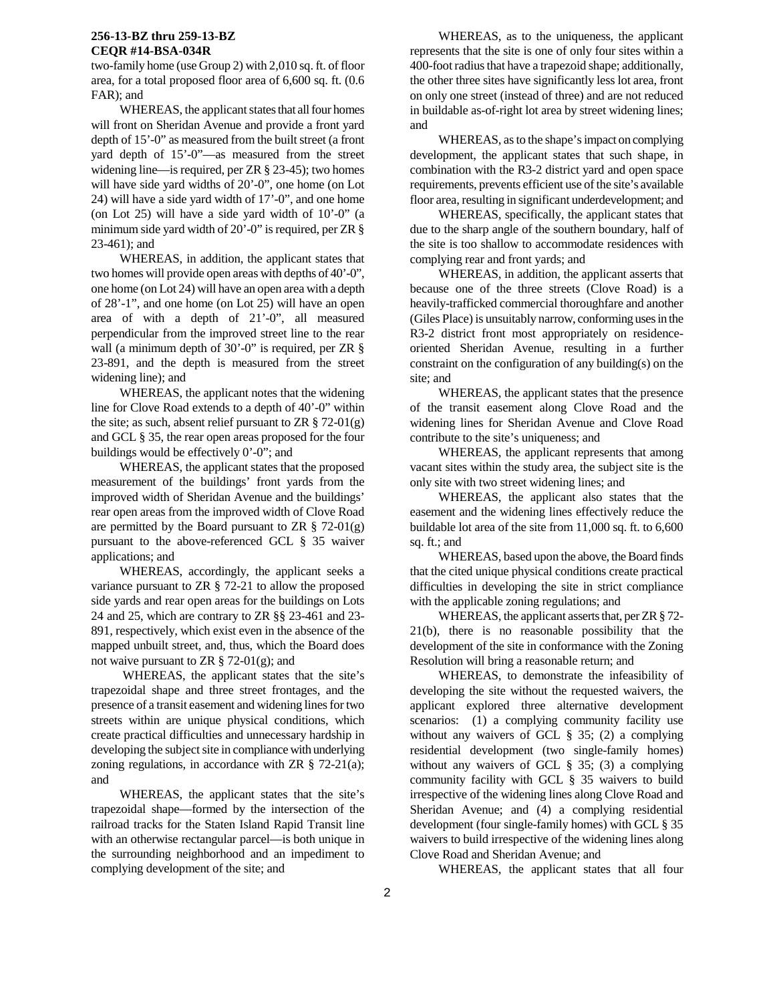two-family home (use Group 2) with 2,010 sq. ft. of floor area, for a total proposed floor area of 6,600 sq. ft. (0.6 FAR); and

WHEREAS, the applicant states that all four homes will front on Sheridan Avenue and provide a front yard depth of 15'-0" as measured from the built street (a front yard depth of 15'-0"—as measured from the street widening line—is required, per ZR § 23-45); two homes will have side yard widths of 20'-0", one home (on Lot 24) will have a side yard width of 17'-0", and one home (on Lot 25) will have a side yard width of 10'-0" (a minimum side yard width of 20'-0" is required, per ZR § 23-461); and

WHEREAS, in addition, the applicant states that two homes will provide open areas with depths of 40'-0", one home (on Lot 24) will have an open area with a depth of 28'-1", and one home (on Lot 25) will have an open area of with a depth of 21'-0", all measured perpendicular from the improved street line to the rear wall (a minimum depth of 30'-0" is required, per ZR § 23-891, and the depth is measured from the street widening line); and

WHEREAS, the applicant notes that the widening line for Clove Road extends to a depth of 40'-0" within the site; as such, absent relief pursuant to ZR  $\S$  72-01(g) and GCL § 35, the rear open areas proposed for the four buildings would be effectively 0'-0"; and

WHEREAS, the applicant states that the proposed measurement of the buildings' front yards from the improved width of Sheridan Avenue and the buildings' rear open areas from the improved width of Clove Road are permitted by the Board pursuant to ZR  $\S$  72-01(g) pursuant to the above-referenced GCL § 35 waiver applications; and

 WHEREAS, accordingly, the applicant seeks a variance pursuant to ZR § 72-21 to allow the proposed side yards and rear open areas for the buildings on Lots 24 and 25, which are contrary to ZR §§ 23-461 and 23- 891, respectively, which exist even in the absence of the mapped unbuilt street, and, thus, which the Board does not waive pursuant to ZR  $\S$  72-01(g); and

 WHEREAS, the applicant states that the site's trapezoidal shape and three street frontages, and the presence of a transit easement and widening lines for two streets within are unique physical conditions, which create practical difficulties and unnecessary hardship in developing the subject site in compliance with underlying zoning regulations, in accordance with ZR  $\S$  72-21(a); and

 WHEREAS, the applicant states that the site's trapezoidal shape—formed by the intersection of the railroad tracks for the Staten Island Rapid Transit line with an otherwise rectangular parcel—is both unique in the surrounding neighborhood and an impediment to complying development of the site; and

 WHEREAS, as to the uniqueness, the applicant represents that the site is one of only four sites within a 400-foot radius that have a trapezoid shape; additionally, the other three sites have significantly less lot area, front on only one street (instead of three) and are not reduced in buildable as-of-right lot area by street widening lines; and

 WHEREAS, as to the shape's impact on complying development, the applicant states that such shape, in combination with the R3-2 district yard and open space requirements, prevents efficient use of the site's available floor area, resulting in significant underdevelopment; and

 WHEREAS, specifically, the applicant states that due to the sharp angle of the southern boundary, half of the site is too shallow to accommodate residences with complying rear and front yards; and

 WHEREAS, in addition, the applicant asserts that because one of the three streets (Clove Road) is a heavily-trafficked commercial thoroughfare and another (Giles Place) is unsuitably narrow, conforming uses in the R3-2 district front most appropriately on residenceoriented Sheridan Avenue, resulting in a further constraint on the configuration of any building(s) on the site; and

 WHEREAS, the applicant states that the presence of the transit easement along Clove Road and the widening lines for Sheridan Avenue and Clove Road contribute to the site's uniqueness; and

 WHEREAS, the applicant represents that among vacant sites within the study area, the subject site is the only site with two street widening lines; and

 WHEREAS, the applicant also states that the easement and the widening lines effectively reduce the buildable lot area of the site from 11,000 sq. ft. to 6,600 sq. ft.; and

 WHEREAS, based upon the above, the Board finds that the cited unique physical conditions create practical difficulties in developing the site in strict compliance with the applicable zoning regulations; and

 WHEREAS, the applicant asserts that, per ZR § 72- 21(b), there is no reasonable possibility that the development of the site in conformance with the Zoning Resolution will bring a reasonable return; and

 WHEREAS, to demonstrate the infeasibility of developing the site without the requested waivers, the applicant explored three alternative development scenarios: (1) a complying community facility use without any waivers of GCL § 35; (2) a complying residential development (two single-family homes) without any waivers of GCL § 35; (3) a complying community facility with GCL § 35 waivers to build irrespective of the widening lines along Clove Road and Sheridan Avenue; and (4) a complying residential development (four single-family homes) with GCL § 35 waivers to build irrespective of the widening lines along Clove Road and Sheridan Avenue; and

WHEREAS, the applicant states that all four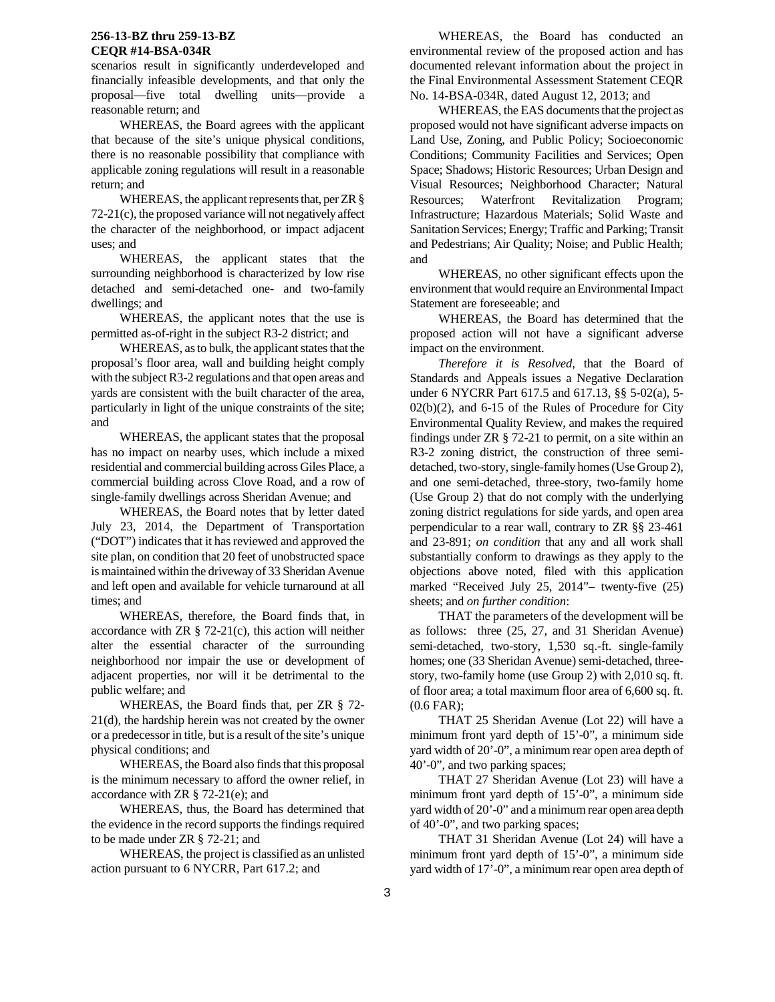scenarios result in significantly underdeveloped and financially infeasible developments, and that only the proposal—five total dwelling units—provide a reasonable return; and

 WHEREAS, the Board agrees with the applicant that because of the site's unique physical conditions, there is no reasonable possibility that compliance with applicable zoning regulations will result in a reasonable return; and

 WHEREAS, the applicant represents that, per ZR § 72-21(c), the proposed variance will not negatively affect the character of the neighborhood, or impact adjacent uses; and

 WHEREAS, the applicant states that the surrounding neighborhood is characterized by low rise detached and semi-detached one- and two-family dwellings; and

 WHEREAS, the applicant notes that the use is permitted as-of-right in the subject R3-2 district; and

 WHEREAS, as to bulk, the applicant states that the proposal's floor area, wall and building height comply with the subject R3-2 regulations and that open areas and yards are consistent with the built character of the area, particularly in light of the unique constraints of the site; and

 WHEREAS, the applicant states that the proposal has no impact on nearby uses, which include a mixed residential and commercial building across Giles Place, a commercial building across Clove Road, and a row of single-family dwellings across Sheridan Avenue; and

 WHEREAS, the Board notes that by letter dated July 23, 2014, the Department of Transportation ("DOT") indicates that it has reviewed and approved the site plan, on condition that 20 feet of unobstructed space is maintained within the driveway of 33 Sheridan Avenue and left open and available for vehicle turnaround at all times; and

 WHEREAS, therefore, the Board finds that, in accordance with  $ZR \S$  72-21(c), this action will neither alter the essential character of the surrounding neighborhood nor impair the use or development of adjacent properties, nor will it be detrimental to the public welfare; and

 WHEREAS, the Board finds that, per ZR § 72- 21(d), the hardship herein was not created by the owner or a predecessor in title, but is a result of the site's unique physical conditions; and

 WHEREAS, the Board also finds that this proposal is the minimum necessary to afford the owner relief, in accordance with ZR  $\S$  72-21(e); and

 WHEREAS, thus, the Board has determined that the evidence in the record supports the findings required to be made under ZR § 72-21; and

 WHEREAS, the project is classified as an unlisted action pursuant to 6 NYCRR, Part 617.2; and

 WHEREAS, the Board has conducted an environmental review of the proposed action and has documented relevant information about the project in the Final Environmental Assessment Statement CEQR No. 14-BSA-034R, dated August 12, 2013; and

 WHEREAS, the EAS documents that the project as proposed would not have significant adverse impacts on Land Use, Zoning, and Public Policy; Socioeconomic Conditions; Community Facilities and Services; Open Space; Shadows; Historic Resources; Urban Design and Visual Resources; Neighborhood Character; Natural Resources; Waterfront Revitalization Program; Infrastructure; Hazardous Materials; Solid Waste and Sanitation Services; Energy; Traffic and Parking; Transit and Pedestrians; Air Quality; Noise; and Public Health; and

 WHEREAS, no other significant effects upon the environment that would require an Environmental Impact Statement are foreseeable; and

 WHEREAS, the Board has determined that the proposed action will not have a significant adverse impact on the environment.

 *Therefore it is Resolved,* that the Board of Standards and Appeals issues a Negative Declaration under 6 NYCRR Part 617.5 and 617.13, §§ 5-02(a), 5- 02(b)(2), and 6-15 of the Rules of Procedure for City Environmental Quality Review, and makes the required findings under ZR § 72-21 to permit, on a site within an R3-2 zoning district, the construction of three semidetached, two-story, single-family homes (Use Group 2), and one semi-detached, three-story, two-family home (Use Group 2) that do not comply with the underlying zoning district regulations for side yards, and open area perpendicular to a rear wall, contrary to ZR §§ 23-461 and 23-891; *on condition* that any and all work shall substantially conform to drawings as they apply to the objections above noted, filed with this application marked "Received July 25, 2014"– twenty-five (25) sheets; and *on further condition*:

 THAT the parameters of the development will be as follows: three (25, 27, and 31 Sheridan Avenue) semi-detached, two-story, 1,530 sq.-ft. single-family homes; one (33 Sheridan Avenue) semi-detached, threestory, two-family home (use Group 2) with 2,010 sq. ft. of floor area; a total maximum floor area of 6,600 sq. ft. (0.6 FAR);

 THAT 25 Sheridan Avenue (Lot 22) will have a minimum front yard depth of 15'-0", a minimum side yard width of 20'-0", a minimum rear open area depth of 40'-0", and two parking spaces;

 THAT 27 Sheridan Avenue (Lot 23) will have a minimum front yard depth of 15'-0", a minimum side yard width of 20'-0" and a minimum rear open area depth of 40'-0", and two parking spaces;

 THAT 31 Sheridan Avenue (Lot 24) will have a minimum front yard depth of 15'-0", a minimum side yard width of 17'-0", a minimum rear open area depth of